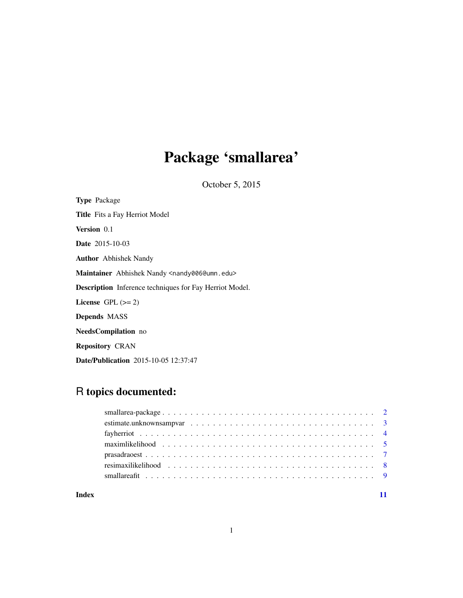# Package 'smallarea'

October 5, 2015

| <b>Type</b> Package                                             |
|-----------------------------------------------------------------|
| <b>Title</b> Fits a Fay Herriot Model                           |
| <b>Version</b> 0.1                                              |
| <b>Date</b> 2015-10-03                                          |
| <b>Author</b> Abhishek Nandy                                    |
| Maintainer Abhishek Nandy <nandy006@umn.edu></nandy006@umn.edu> |
| <b>Description</b> Inference techniques for Fay Herriot Model.  |
| License $GPL (= 2)$                                             |
| <b>Depends MASS</b>                                             |
| <b>NeedsCompilation</b> no                                      |
| <b>Repository CRAN</b>                                          |

Date/Publication 2015-10-05 12:37:47

### R topics documented:

| maxim likelihood $\ldots \ldots \ldots \ldots \ldots \ldots \ldots \ldots \ldots \ldots \ldots \ldots \ldots$ |  |
|---------------------------------------------------------------------------------------------------------------|--|
|                                                                                                               |  |
|                                                                                                               |  |
|                                                                                                               |  |
|                                                                                                               |  |

#### **Index** [11](#page-10-0)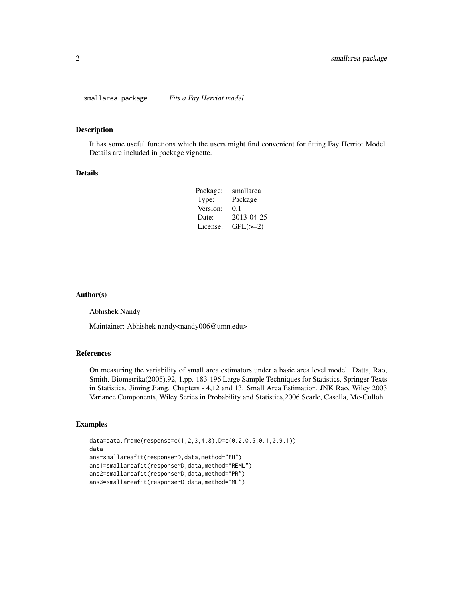<span id="page-1-0"></span>smallarea-package *Fits a Fay Herriot model*

#### Description

It has some useful functions which the users might find convenient for fitting Fay Herriot Model. Details are included in package vignette.

#### Details

| Package: | smallarea     |
|----------|---------------|
| Type:    | Package       |
| Version: | 0.1           |
| Date:    | 2013-04-25    |
| License: | $GPL(\geq=2)$ |

#### Author(s)

Abhishek Nandy

Maintainer: Abhishek nandy<nandy006@umn.edu>

#### References

On measuring the variability of small area estimators under a basic area level model. Datta, Rao, Smith. Biometrika(2005),92, 1,pp. 183-196 Large Sample Techniques for Statistics, Springer Texts in Statistics. Jiming Jiang. Chapters - 4,12 and 13. Small Area Estimation, JNK Rao, Wiley 2003 Variance Components, Wiley Series in Probability and Statistics,2006 Searle, Casella, Mc-Culloh

#### Examples

```
data=data.frame(response=c(1,2,3,4,8),D=c(0.2,0.5,0.1,0.9,1))
data
ans=smallareafit(response~D,data,method="FH")
ans1=smallareafit(response~D,data,method="REML")
ans2=smallareafit(response~D,data,method="PR")
ans3=smallareafit(response~D,data,method="ML")
```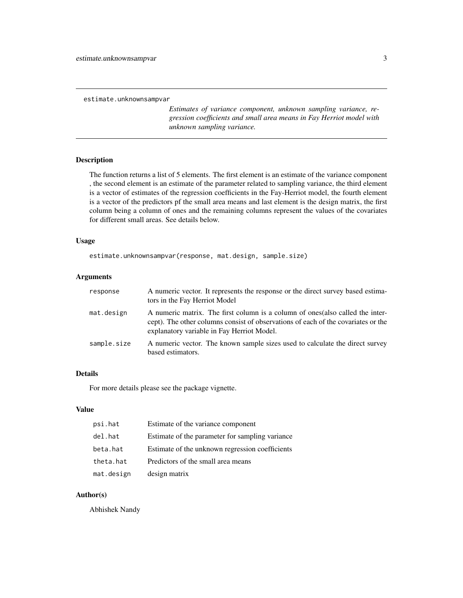<span id="page-2-0"></span>estimate.unknownsampvar

*Estimates of variance component, unknown sampling variance, regression coefficients and small area means in Fay Herriot model with unknown sampling variance.*

#### Description

The function returns a list of 5 elements. The first element is an estimate of the variance component , the second element is an estimate of the parameter related to sampling variance, the third element is a vector of estimates of the regression coefficients in the Fay-Herriot model, the fourth element is a vector of the predictors pf the small area means and last element is the design matrix, the first column being a column of ones and the remaining columns represent the values of the covariates for different small areas. See details below.

#### Usage

estimate.unknownsampvar(response, mat.design, sample.size)

#### Arguments

| response    | A numeric vector. It represents the response or the direct survey based estima-<br>tors in the Fay Herriot Model                                                                                                  |
|-------------|-------------------------------------------------------------------------------------------------------------------------------------------------------------------------------------------------------------------|
| mat.design  | A numeric matrix. The first column is a column of ones (also called the inter-<br>cept). The other columns consist of observations of each of the covariates or the<br>explanatory variable in Fay Herriot Model. |
| sample.size | A numeric vector. The known sample sizes used to calculate the direct survey<br>based estimators.                                                                                                                 |

#### Details

For more details please see the package vignette.

#### Value

| psi.hat    | Estimate of the variance component              |
|------------|-------------------------------------------------|
| del.hat    | Estimate of the parameter for sampling variance |
| beta.hat   | Estimate of the unknown regression coefficients |
| theta.hat  | Predictors of the small area means              |
| mat.design | design matrix                                   |

#### Author(s)

Abhishek Nandy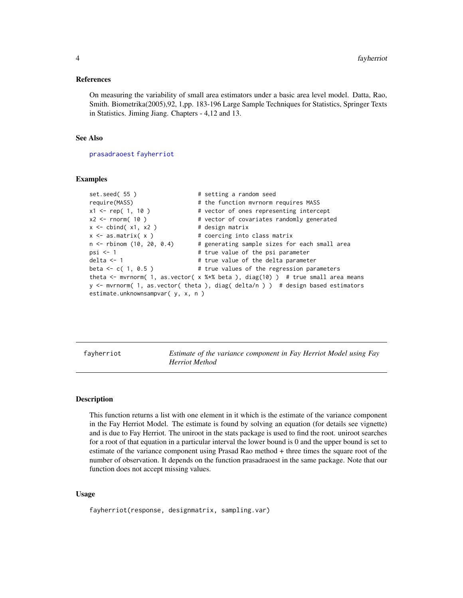#### <span id="page-3-0"></span>References

On measuring the variability of small area estimators under a basic area level model. Datta, Rao, Smith. Biometrika(2005),92, 1,pp. 183-196 Large Sample Techniques for Statistics, Springer Texts in Statistics. Jiming Jiang. Chapters - 4,12 and 13.

#### See Also

[prasadraoest](#page-6-1) [fayherriot](#page-3-1)

#### Examples

```
set.seed( 55 ) \qquad # setting a random seed
require(MASS) \qquad \qquad \qquad # the function mvrnorm requires MASS
x1 <- rep( 1, 10 ) # vector of ones representing intercept
x2 <- rnorm( 10 ) # vector of covariates randomly generated
x \le - cbind(x1, x2) # design matrix
x \le - as.matrix(x) # coercing into class matrix
n <- rbinom (10, 20, 0.4) # generating sample sizes for each small area
psi <- 1 \qquad # true value of the psi parameter
delta <- 1 \qquad # true value of the delta parameter
beta <- c( 1, 0.5 ) # true values of the regression parameters
theta \leq mvrnorm( 1, as.vector( x %*% beta ), diag(10) ) # true small area means
y <- mvrnorm( 1, as.vector( theta ), diag( delta/n ) ) # design based estimators
estimate.unknownsampvar( y, x, n )
```
<span id="page-3-1"></span>fayherriot *Estimate of the variance component in Fay Herriot Model using Fay Herriot Method*

#### Description

This function returns a list with one element in it which is the estimate of the variance component in the Fay Herriot Model. The estimate is found by solving an equation (for details see vignette) and is due to Fay Herriot. The uniroot in the stats package is used to find the root. uniroot searches for a root of that equation in a particular interval the lower bound is 0 and the upper bound is set to estimate of the variance component using Prasad Rao method + three times the square root of the number of observation. It depends on the function prasadraoest in the same package. Note that our function does not accept missing values.

#### Usage

fayherriot(response, designmatrix, sampling.var)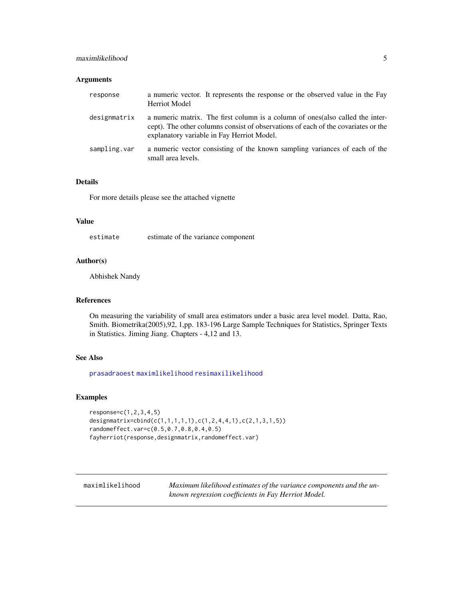#### <span id="page-4-0"></span>maximlikelihood 5

#### Arguments

| response     | a numeric vector. It represents the response or the observed value in the Fay<br><b>Herriot Model</b>                                                                                                             |
|--------------|-------------------------------------------------------------------------------------------------------------------------------------------------------------------------------------------------------------------|
| designmatrix | a numeric matrix. The first column is a column of ones (also called the inter-<br>cept). The other columns consist of observations of each of the covariates or the<br>explanatory variable in Fay Herriot Model. |
| sampling.var | a numeric vector consisting of the known sampling variances of each of the<br>small area levels.                                                                                                                  |

#### Details

For more details please see the attached vignette

#### Value

estimate estimate of the variance component

#### Author(s)

Abhishek Nandy

#### References

On measuring the variability of small area estimators under a basic area level model. Datta, Rao, Smith. Biometrika(2005),92, 1,pp. 183-196 Large Sample Techniques for Statistics, Springer Texts in Statistics. Jiming Jiang. Chapters - 4,12 and 13.

#### See Also

[prasadraoest](#page-6-1) [maximlikelihood](#page-4-1) [resimaxilikelihood](#page-7-1)

#### Examples

```
response=c(1,2,3,4,5)
designmatrix=cbind(c(1,1,1,1,1),c(1,2,4,4,1),c(2,1,3,1,5))
randomeffect.var=c(0.5,0.7,0.8,0.4,0.5)
fayherriot(response,designmatrix,randomeffect.var)
```
<span id="page-4-1"></span>maximlikelihood *Maximum likelihood estimates of the variance components and the unknown regression coefficients in Fay Herriot Model.*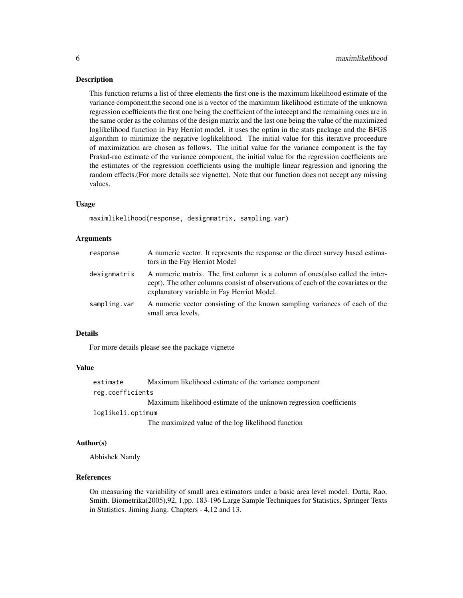#### **Description**

This function returns a list of three elements the first one is the maximum likelihood estimate of the variance component,the second one is a vector of the maximum likelihood estimate of the unknown regression coefficients the first one being the coefficient of the intecept and the remaining ones are in the same order as the columns of the design matrix and the last one being the value of the maximized loglikelihood function in Fay Herriot model. it uses the optim in the stats package and the BFGS algorithm to minimize the negative loglikelihood. The initial value for this iterative proceedure of maximization are chosen as follows. The initial value for the variance component is the fay Prasad-rao estimate of the variance component, the initial value for the regression coefficients are the estimates of the regression coefficients using the multiple linear regression and ignoring the random effects.(For more details see vignette). Note that our function does not accept any missing values.

#### Usage

maximlikelihood(response, designmatrix, sampling.var)

#### Arguments

| response     | A numeric vector. It represents the response or the direct survey based estima-<br>tors in the Fay Herriot Model                                                                                                  |
|--------------|-------------------------------------------------------------------------------------------------------------------------------------------------------------------------------------------------------------------|
| designmatrix | A numeric matrix. The first column is a column of ones (also called the inter-<br>cept). The other columns consist of observations of each of the covariates or the<br>explanatory variable in Fay Herriot Model. |
| sampling.var | A numeric vector consisting of the known sampling variances of each of the<br>small area levels.                                                                                                                  |

#### Details

For more details please see the package vignette

#### Value

| estimate          | Maximum likelihood estimate of the variance component              |
|-------------------|--------------------------------------------------------------------|
| reg.coefficients  |                                                                    |
|                   | Maximum likelihood estimate of the unknown regression coefficients |
| loglikeli.optimum |                                                                    |
|                   | The maximized value of the log likelihood function                 |

#### Author(s)

Abhishek Nandy

#### References

On measuring the variability of small area estimators under a basic area level model. Datta, Rao, Smith. Biometrika(2005),92, 1,pp. 183-196 Large Sample Techniques for Statistics, Springer Texts in Statistics. Jiming Jiang. Chapters - 4,12 and 13.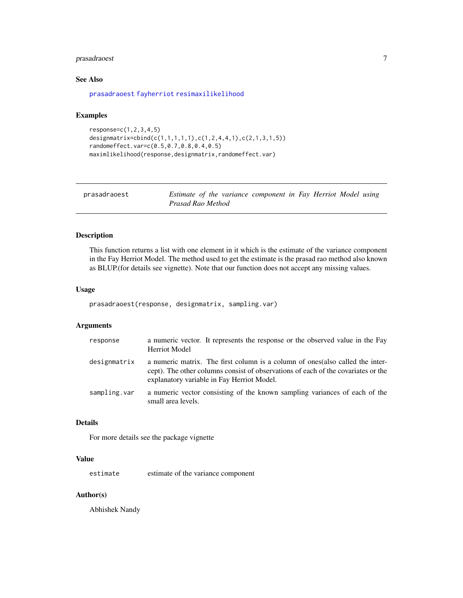#### <span id="page-6-0"></span>prasadraoest 7

#### See Also

[prasadraoest](#page-6-1) [fayherriot](#page-3-1) [resimaxilikelihood](#page-7-1)

#### Examples

```
response=c(1,2,3,4,5)
designmatrix=cbind(c(1,1,1,1,1),c(1,2,4,4,1),c(2,1,3,1,5))
randomeffect.var=c(0.5,0.7,0.8,0.4,0.5)
maximlikelihood(response,designmatrix,randomeffect.var)
```
<span id="page-6-1"></span>

| prasadraoest | Estimate of the variance component in Fay Herriot Model using |  |  |  |
|--------------|---------------------------------------------------------------|--|--|--|
|              | Prasad Rao Method                                             |  |  |  |

### Description

This function returns a list with one element in it which is the estimate of the variance component in the Fay Herriot Model. The method used to get the estimate is the prasad rao method also known as BLUP.(for details see vignette). Note that our function does not accept any missing values.

#### Usage

```
prasadraoest(response, designmatrix, sampling.var)
```
#### Arguments

| response     | a numeric vector. It represents the response or the observed value in the Fay<br><b>Herriot Model</b>                                                                                                             |
|--------------|-------------------------------------------------------------------------------------------------------------------------------------------------------------------------------------------------------------------|
| designmatrix | a numeric matrix. The first column is a column of ones (also called the inter-<br>cept). The other columns consist of observations of each of the covariates or the<br>explanatory variable in Fay Herriot Model. |
| sampling.var | a numeric vector consisting of the known sampling variances of each of the<br>small area levels.                                                                                                                  |

#### Details

For more details see the package vignette

#### Value

estimate estimate of the variance component

#### Author(s)

Abhishek Nandy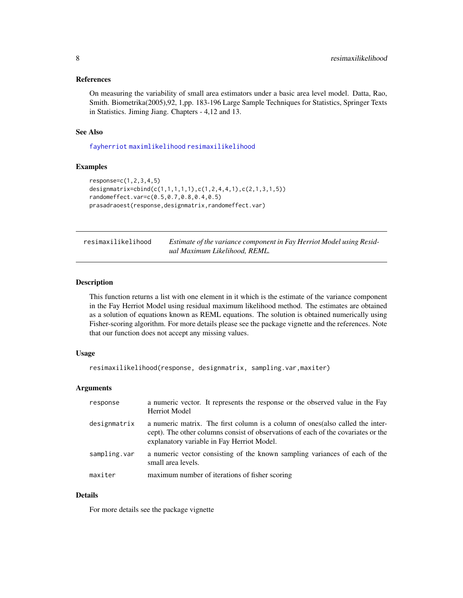#### <span id="page-7-0"></span>References

On measuring the variability of small area estimators under a basic area level model. Datta, Rao, Smith. Biometrika(2005),92, 1,pp. 183-196 Large Sample Techniques for Statistics, Springer Texts in Statistics. Jiming Jiang. Chapters - 4,12 and 13.

#### See Also

[fayherriot](#page-3-1) [maximlikelihood](#page-4-1) [resimaxilikelihood](#page-7-1)

#### Examples

```
response=c(1,2,3,4,5)
designmatrix=cbind(c(1,1,1,1,1),c(1,2,4,4,1),c(2,1,3,1,5))
randomeffect.var=c(0.5,0.7,0.8,0.4,0.5)
prasadraoest(response,designmatrix,randomeffect.var)
```
<span id="page-7-1"></span>

| resimaxilikelihood | Estimate of the variance component in Fay Herriot Model using Resid- |
|--------------------|----------------------------------------------------------------------|
|                    | ual Maximum Likelihood, REML.                                        |

#### Description

This function returns a list with one element in it which is the estimate of the variance component in the Fay Herriot Model using residual maximum likelihood method. The estimates are obtained as a solution of equations known as REML equations. The solution is obtained numerically using Fisher-scoring algorithm. For more details please see the package vignette and the references. Note that our function does not accept any missing values.

#### Usage

```
resimaxilikelihood(response, designmatrix, sampling.var,maxiter)
```
#### Arguments

| response     | a numeric vector. It represents the response or the observed value in the Fay<br><b>Herriot Model</b>                                                                                                             |
|--------------|-------------------------------------------------------------------------------------------------------------------------------------------------------------------------------------------------------------------|
| designmatrix | a numeric matrix. The first column is a column of ones (also called the inter-<br>cept). The other columns consist of observations of each of the covariates or the<br>explanatory variable in Fay Herriot Model. |
| sampling.var | a numeric vector consisting of the known sampling variances of each of the<br>small area levels.                                                                                                                  |
| maxiter      | maximum number of iterations of fisher scoring                                                                                                                                                                    |

#### Details

For more details see the package vignette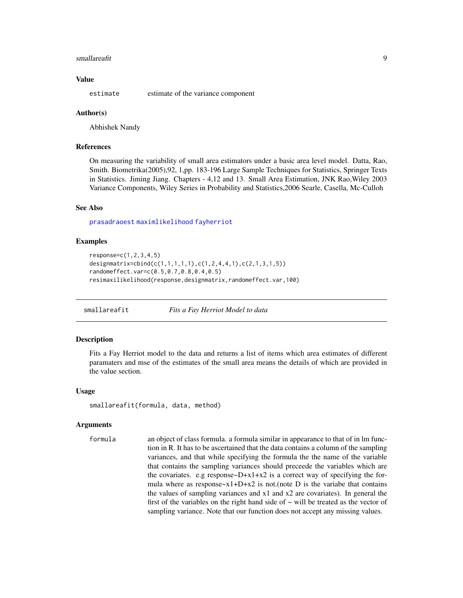#### <span id="page-8-0"></span>smallareafit **9**

#### Value

estimate estimate of the variance component

#### Author(s)

Abhishek Nandy

#### References

On measuring the variability of small area estimators under a basic area level model. Datta, Rao, Smith. Biometrika(2005),92, 1,pp. 183-196 Large Sample Techniques for Statistics, Springer Texts in Statistics. Jiming Jiang. Chapters - 4,12 and 13. Small Area Estimation, JNK Rao,Wiley 2003 Variance Components, Wiley Series in Probability and Statistics,2006 Searle, Casella, Mc-Culloh

#### See Also

[prasadraoest](#page-6-1) [maximlikelihood](#page-4-1) [fayherriot](#page-3-1)

#### Examples

```
response=c(1,2,3,4,5)
designmatrix=cbind(c(1,1,1,1,1),c(1,2,4,4,1),c(2,1,3,1,5))
randomeffect.var=c(0.5,0.7,0.8,0.4,0.5)
resimaxilikelihood(response,designmatrix,randomeffect.var,100)
```
smallareafit *Fits a Fay Herriot Model to data*

#### Description

Fits a Fay Herriot model to the data and returns a list of items which area estimates of different paramaters and mse of the estimates of the small area means the details of which are provided in the value section.

#### Usage

```
smallareafit(formula, data, method)
```
#### Arguments

formula an object of class formula. a formula similar in appearance to that of in lm function in R. It has to be ascertained that the data contains a column of the sampling variances, and that while specifying the formula the the name of the variable that contains the sampling variances should preceede the variables which are the covariates. e.g response $-D+x1+x2$  is a correct way of specifying the formula where as response $-x1+D+x2$  is not.(note D is the variabe that contains the values of sampling variances and x1 and x2 are covariates). In general the first of the variables on the right hand side of  $\sim$  will be treated as the vector of sampling variance. Note that our function does not accept any missing values.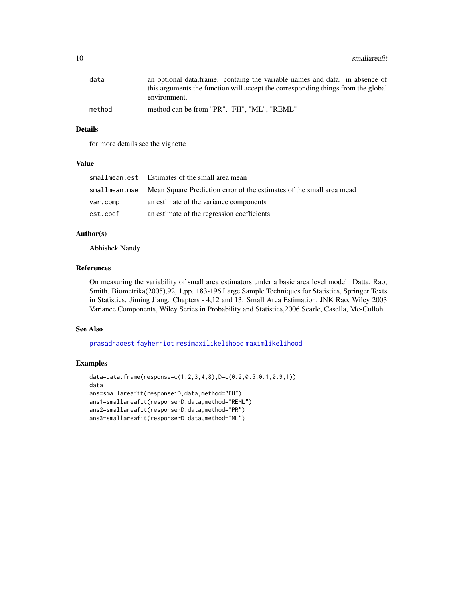<span id="page-9-0"></span>

| data   | an optional data.frame. containg the variable names and data. in absence of      |
|--------|----------------------------------------------------------------------------------|
|        | this arguments the function will accept the corresponding things from the global |
|        | environment.                                                                     |
| method | method can be from "PR", "FH", "ML", "REML"                                      |

#### Details

for more details see the vignette

#### Value

|          | smallmean.est Estimates of the small area mean                                     |
|----------|------------------------------------------------------------------------------------|
|          | smallmean.mse Mean Square Prediction error of the estimates of the small area mead |
| var.comp | an estimate of the variance components                                             |
| est.coef | an estimate of the regression coefficients                                         |

#### Author(s)

Abhishek Nandy

#### References

On measuring the variability of small area estimators under a basic area level model. Datta, Rao, Smith. Biometrika(2005),92, 1,pp. 183-196 Large Sample Techniques for Statistics, Springer Texts in Statistics. Jiming Jiang. Chapters - 4,12 and 13. Small Area Estimation, JNK Rao, Wiley 2003 Variance Components, Wiley Series in Probability and Statistics,2006 Searle, Casella, Mc-Culloh

#### See Also

[prasadraoest](#page-6-1) [fayherriot](#page-3-1) [resimaxilikelihood](#page-7-1) [maximlikelihood](#page-4-1)

#### Examples

```
data=data.frame(response=c(1,2,3,4,8),D=c(0.2,0.5,0.1,0.9,1))
data
ans=smallareafit(response~D,data,method="FH")
ans1=smallareafit(response~D,data,method="REML")
ans2=smallareafit(response~D,data,method="PR")
ans3=smallareafit(response~D,data,method="ML")
```